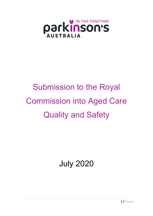

## Submission to the Royal Commission into Aged Care Quality and Safety

### July 2020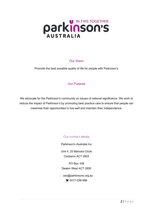# **PACKINSON'S**

#### Our Vision

Promote the best possible quality of life for people with Parkinson's

#### Our Purpose

We advocate for the Parkinson's community on issues of national significance. We work to reduce the impact of Parkinson's by promoting best practice care to ensure that people can maximise their opportunities to live well and maintain their independence.

#### Our contact details

Parkinson's Australia Inc

Unit 4, 25 Manuka Circle Canberra ACT 2603

PO Box 108 Deakin West ACT 2600

□ ceo@parkinsons.org.au ■ 0417-236-998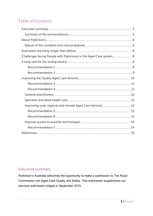#### Table of Contents

| Challenges facing People with Parkinsons in the Aged Care system  8 |  |
|---------------------------------------------------------------------|--|
|                                                                     |  |
|                                                                     |  |
|                                                                     |  |
|                                                                     |  |
|                                                                     |  |
|                                                                     |  |
|                                                                     |  |
|                                                                     |  |
|                                                                     |  |
|                                                                     |  |
|                                                                     |  |
|                                                                     |  |
|                                                                     |  |
|                                                                     |  |

#### <span id="page-2-0"></span>Executive summary

Parkinson's Australia welcomes the opportunity to make a submission to The Royal Commission into Aged Care Quality and Safety. This submission supplements our previous submission lodged in September 2019.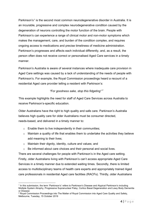Parkinson's<sup>[1](#page-3-0)</sup> is the second most common neurodegenerative disorder in Australia. It is an incurable, progressive and complex neurodegenerative condition caused by the degeneration of neurons controlling the motor function of the brain. People with Parkinson's can experience a range of clinical motor and non-motor symptoms which makes the management, care, and burden of the condition complex, and requires ongoing access to medications and precise timeliness of medicine administration. Parkinson's progresses and affects each individual differently, and, as a result, the person often does not receive correct or personalised Aged Care services in a timely manner.

Parkinson's Australia is aware of several instances where inadequate care provision in Aged Care settings was caused by a lack of understanding of the needs of people with Parkinson's. For example, the Royal Commission proceedings heard a recount of a residential Aged care provider telling a resident with Parkinson's:

#### *"For goodness sake, stop this fidgeting" [2](#page-3-1)*

This example highlights the need for staff of Aged Care Services across Australia to receive Parkinson's-specific education.

Older Australians have the right to high quality and safe care. Parkinson's Australia believes high quality care for older Australians must be consumer directed, needs-based, and delivered in a timely manner to:

- $\circ$  Enable them to live independently in their communities;
- $\circ$  Maintain a quality of life that enables them to undertake the activities they believe add meaning to their lives;
- o Maintain their dignity, identity, culture and values; and
- o Be informed about care choices and their personal and social lives.

There are several challenges for people with Parkinson's in the Aged care setting. Firstly, older Australians living with Parkinson's can't access appropriate Aged Care Services in a timely manner due to extended waiting times. Secondly, there is limited access to multidisciplinary teams of health care experts and appropriately trained Aged care professionals in residential Aged care facilities (RACFs). Thirdly, older Australians

<span id="page-3-0"></span><sup>1</sup> In this submission, the term 'Parkinson's' refers to Parkinson's Disease and Atypical Parkinson's including Multiple System Atrophy, Progressive Supranuclear Palsy, Cortico Basal Degeneration and Lewy Body Dementia or Disease

<span id="page-3-1"></span><sup>&</sup>lt;sup>2</sup> Royal Commission Proceedings into The Matter of Royal Commission into Aged Care Quality and Safety, Melbourne, Tuesday, 15 October 2019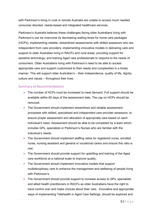with Parkinson's living in rural or remote Australia are unable to access much needed consumer directed, needs-based and integrated healthcare services.

Parkinson's Australia believes these challenges facing older Australians living with Parkinson's can be overcome by decreasing waiting times for home care packages (HCPs); implementing reliable, streamlined assessments with skilled assessors who are independent from care providers; implementing innovative models in delivering care and support to older Australian living in RACFs and rural areas, providing support for assistive technology; and training Aged care professionals to respond to the needs of consumers. Older Australians living with Parkinson's need to be able to access appropriate care and support customized to their needs and complexities in a timely manner. This will support older Australian's – their independence, quality of life, dignity, culture and values – throughout their lives.

#### <span id="page-4-0"></span>Summary of Recommendations

- $\triangleright$  The number of HCPs must be increased to meet demand. Full support should be available within 60 days of the assessment date. The cap on HCPs should be removed.
- $\triangleright$  The Government should implement streamlined and reliable assessment processes with skilled, specialised and independent care provider assessors, to ensure proper assessment and allocation of appropriate care based on each individual's need. Assessment should be able to be completed by a team which includes GPs, specialists or Parkinson's Nurses who are familiar with the individual's needs.
- $\triangleright$  The Government should implement staffing ratios for registered nurse, enrolled nurse, nursing assistant and general or vocational carers and ensure this ratio is met.
- $\triangleright$  The Government should provide support for upskilling and training of the Aged care workforce at a national scale to improve quality.
- $\triangleright$  The Government should implement innovative models that support multidisciplinary care to enhance the management and wellbeing of people living with Parkinson's.
- $\triangleright$  The Government should provide support to increase access to GPs, specialists and allied health practitioners in RACFs as older Australians have the right to have control over and make choices about their care. Innovative and appropriate ways of implementing Telehealth in Aged Care Settings, should be explored and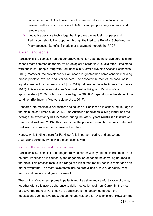implemented in RACFs to overcome the time and distance limitations that prevent healthcare provider visits to RACFs and people in regional, rural and remote areas.

Innovative assistive technology that improves the wellbeing of people with Parkinson's should be supported through the Medicare Benefits Schedule, the Pharmaceutical Benefits Schedule or a payment through the RACF.

#### <span id="page-5-0"></span>About Parkinson's

Parkinson's is a complex neurodegenerative condition that has no known cure. It is the second most common degenerative neurological disorder in Australia after Alzheimer's, with one in 340 people living with Parkinson's in Australia (Deloitte Access Economics, 2015). Moreover, the prevalence of Parkinson's is greater than some cancers including breast, prostate, ovarian, and liver cancers. The economic burden of the condition is equally great with an annual cost of \$1b (2015) nationwide (Deloitte Access Economics, 2015). This equates to an individual's annual cost of living with Parkinson's of approximately \$32,300, which can be as high as \$63,600 depending on the stage of the condition (Bohingamu Mudiyanselage et al., 2017).

Research into modifiable risk factors and causes of Parkinson's is continuing, but age is the main factor (Hirsch et al., 2016). The Australian population is living longer and the average life expectancy has increased during the last 50 years (Australian Institute of Health and Welfare., 2019). This means that the prevalence and burden associated with Parkinson's is projected to increase in the future.

Hence, while finding a cure for Parkinson's is important, caring and supporting Australians currently living with the condition is vital.

#### <span id="page-5-1"></span>Nature of the condition and clinical features

Parkinson's is a complex neurodegenerative disorder with symptomatic treatments and no cure. Parkinson's is caused by the degeneration of dopamine secreting neurons in the brain. This process results in a range of clinical features divided into motor and nonmotor symptoms. The motor symptoms include bradykinesia, muscular rigidity, rest tremor and postural and gait impairment.

The control of motor symptoms in patients requires slow and careful titration of drugs, together with satisfactory adherence to daily medication regimen. Currently, the most effective treatment of Parkinson's is administration of dopamine through oral medications such as levodopa, dopamine agonists and MAO-B inhibitors. However, the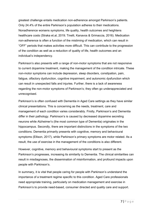greatest challenge entails medication non-adherence amongst Parkinson's patients. Only 24.4% of the entire Parkinson's population adheres to their medications. Nonadherence worsens symptoms, life quality, health outcomes and heightens healthcare costs (Straka et.al, 2019; Tinelli, Kanavos & Grimaccia, 2016). Medication non-adherence is often a function of the mistiming of medication, which can result in "OFF" periods that makes activities more difficult. This can contribute to the progression of the condition as well as a reduction of quality of life, health outcomes and an individual's independency.

Parkinson's also presents with a range of non-motor symptoms that are not responsive to current dopamine treatment, making the management of the condition intricate. These non-motor symptoms can include depression, sleep disorders, constipation, pain, fatigue, olfactory dysfunction, cognitive impairment, and autonomic dysfunction which can result in unexpected falls and injuries. Further, there is a lack of awareness regarding the non-motor symptoms of Parkinson's; they often go underappreciated and unrecognised.

Parkinson's is often confused with Dementia in Aged Care settings as they have similar clinical presentations. This is concerning as the needs, treatment, care and management of each condition varies considerably. Firstly, Parkinson's and Dementia differ in their pathology. Parkinson's is caused by decreased dopamine secreting neurons while Alzheimer's (the most common type of Dementia) originates in the hippocampus. Secondly, there are important distinctions in the symptoms of the two conditions. Dementia primarily presents with cognitive, memory and behavioural symptoms (Ellison, 2017), while Parkinson's primary symptoms are motor related. As a result, the use of exercise in the management of the conditions is also different.

However, cognitive, memory and behavioural symptoms start to present as the Parkinson's progresses, increasing its similarity to Dementia. The clinical similarities can result in misdiagnoses, the dissemination of misinformation, and profound impacts upon people with Parkinson's.

In summary, it is vital that people caring for people with Parkinson's understand the importance of a treatment regime specific to this condition. Aged Care professionals need appropriate training, particularly on medication management and exercise in Parkinson's to provide need-based, consumer directed and quality care and support.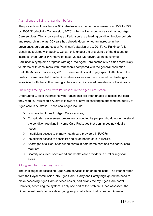#### <span id="page-7-0"></span>Australians are living longer than before

The proportion of people over 65 in Australia is expected to increase from 15% to 23% by 2066 (Productivity Commission, 2020), which will only put more strain on our Aged Care services. This is concerning as Parkinson's is a leading condition in older cohorts, and research in the last 30 years has already documented an increase in the prevalence, burden and cost of Parkinson's (Savica et al., 2016). As Parkinson's is closely associated with ageing, we can only expect the prevalence of the disease to increase even further (Wanneveich et al., 2018). Moreover, as the severity of Parkinson's symptoms progress with age, the Aged Care sector is five times more likely to interact with consumers with Parkinson's compared with the general population (Deloitte Access Economics, 2015). Therefore, it is vital to pay special attention to the quality of care provided to older Australian's so we can overcome future challenges associated with the shift in demographics and an increased prevalence of Parkinson's.

#### <span id="page-7-1"></span>Challenges facing People with Parkinsons in the Aged Care system

Unfortunately, older Australians with Parkinson's are often unable to access the care they require. Parkinson's Australia is aware of several challenges affecting the quality of Aged care in Australia. These challenges include:

- $\triangleright$  Long waiting times for Aged Care services;
- $\triangleright$  Complicated assessment processes conducted by people who do not understand the condition resulting in Home Care Packages that don't meet individual's needs;
- $\triangleright$  Insufficient access to primary health care providers in RACFs;
- $\triangleright$  Insufficient access to specialist and allied health care in RACFs;
- $\triangleright$  Shortages of skilled, specialised carers in both home care and residential care facilities;
- $\triangleright$  Scarcity of skilled, specialised and health care providers in rural or regional areas.

#### <span id="page-7-2"></span>A long wait for the wrong service

The challenges of accessing Aged Care services is an ongoing issue. The interim report from the Royal commission into Aged Care Quality and Safety highlighted the need to make accessing Aged Care services easier, particularly the My Aged Care portal. However, accessing the system is only one part of the problem. Once assessed, the Government needs to provide ongoing support at a level that is needed. Greater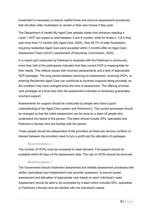investment is necessary to reduce waitlist times and improve assessment procedures that will allow older Australians to remain in their own homes if they wish.

The Department of Health My Aged Care website states that someone needing a Level 1 HCP can expect to wait between 3 and 6 months, while for levels 2, 3 & 4 they wait more than 12 months (My Aged Care, 2020). Only 46.7% of older Australians requiring residential Aged Care were accepted within 3 months after an Aged Care Assessment Team (ACAT) assessment (Productivity Commission, 2020).

In a recent poll conducted by Parkinson's Australia with the Parkinson's community, more than half of the participants indicated that their current HCP is inappropriate for their needs. This reflects issues with incorrect assessments and a lack of appropriate HCP packages. The long period between receiving an assessment, receiving HCPs, or entering Residential Aged Care can contribute to incorrect supports being provided, as the condition may have changed since the time of assessment. The offering of home care packages at a level less than the assessment indicates is necessary guarantees incorrect support.

Assessments for support should be conducted by people who have a good understanding of the Aged Care system and Parkinson's. The current processes should be changed so that the initial assessment can be done by a team of people who understand the needs of the person. This team should include GPs, specialists and Parkinson's Nurses who are familiar with the person.

These people should be independent of the providers as there are obvious conflicts of interest between the providers need to turn a profit and the allocation of packages.

#### *Recommendation 1*

<span id="page-8-0"></span>The number of HCPs must be increased to meet demand. Full support should be available within 60 days of the assessment date. The cap on HCPs should be removed.

#### *Recommendation 2*

<span id="page-8-1"></span>The Government should implement streamlined and reliable assessment processes with skilled, specialised and independent care provider assessors, to ensure proper assessment and allocation of appropriate care based on each individual's need. Assessment should be able to be completed by a team which includes GPs, specialists or Parkinson's Nurses who are familiar with the individual's needs.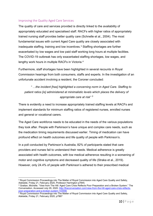#### <span id="page-9-0"></span>Improving the Quality Aged Care Services

The quality of care and services provided is directly linked to the availability of appropriately educated and specialised staff. RACFs with higher ratios of appropriately trained nursing staff provides better quality care (Schnelle et al., 2004). The most fundamental issues with current Aged Care quality are closely associated with inadequate staffing, training and low incentives.<sup>[3](#page-9-1)</sup> Staffing shortages are further exacerbated by low wages and low paid staff working long hours at multiple facilities. The COVID-19 outbreak has only exacerbated staffing shortages, low wages, and lengthy work hours in multiple RACFs in Victoria.[4](#page-9-2)

Furthermore, staff shortages have been highlighted in several recounts in Royal Commission hearings from both consumers, staffs and experts. In the investigation of an unfortunate accident involving a resident, the Coroner concluded:

*" …the incident [has] highlighted a concerning norm in Aged Care. Staffing to patient ratios [is] administered at minimalistic levels which places the delivery of appropriate care at risk" [5](#page-9-3)*

There is evidently a need to increase appropriately trained staffing levels at RACFs and implement standards for minimum staffing ratios of registered nurses, enrolled nurses and general or vocational carers.

The Aged Care workforce needs to be educated in the needs of the various populations they look after. People with Parkinson's have unique and complex care needs, such as the medication timing requirements discussed earlier. Timing of medication can have profound effect on health outcomes and life quality of people with Parkinson's.

In a poll conducted by Parkinson's Australia, 82% of participants stated that care providers and nurses fail to understand their needs. Medical adherence is greatly associated with health outcomes, with low medical adherence resulting in a worsening of motor and cognitive symptoms and decreased quality of life (Straka et al., 2019). However, only 24.4% of people with Parkinson's adhered to their prescribed medical

<span id="page-9-1"></span> $3$  Royal Commission Proceedings into The Matter of Royal Commission into Aged Care Quality and Safety, Adelaide. Fridav 21. February 2020. Professor Harrington p7845.

<span id="page-9-2"></span>Adelaide, Friday 21, February 2020, Professor Harrington p7845. 4 Grattan, Michelle. "View from The Hill: Aged Care Crisis Reflects Poor Preparation and a Broken System." The Conversation. Accessed July 29, 2020. [http://theconversation.com/view-from-the-hill-aged-care-crisis-reflects](http://theconversation.com/view-from-the-hill-aged-care-crisis-reflects-poor-preparation-and-a-broken-system-143556)[poor-preparation-and-a-broken-system-143556.](http://theconversation.com/view-from-the-hill-aged-care-crisis-reflects-poor-preparation-and-a-broken-system-143556)

<span id="page-9-3"></span> $5$  Royal Commission Proceedings into The Matter of Royal Commission into Aged Care Quality and Safety, Adelaide, Friday 21, February 2020, p7867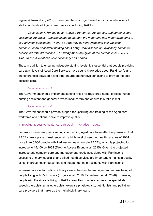regime (Straka et al., 2019). Therefore, there is urgent need to focus on education of staff at all levels of Aged Care Services, including RACFs.

*Case study 1. My dad doesn't have a tremor, carers, nurses, and personal care assistants are grossly undereducated about both the motor and non-motor symptoms of all Parkinson's residents. They ASSUME they all have Alzheimer s or vascular dementia, know absolutely nothing about Lewy Body disease or Lewy body dementia associated with this disease… Ensuring meds are given at the correct times EVERY TIME to avoid variations of unnecessary " off " times…*

Thus, in addition to ensuring adequate staffing levels, it is essential that people providing care at all levels of Aged Care Services have sound knowledge about Parkinson's and the differences between it and other neurodegenerative conditions to provide the best possible care.

#### *Recommendation 3*

<span id="page-10-0"></span>The Government should implement staffing ratios for registered nurse, enrolled nurse, nursing assistant and general or vocational carers and ensure this ratio is met.

#### *Recommendation 4*

<span id="page-10-1"></span>The Government should provide support for upskilling and training of the Aged care workforce at a national scale to improve quality.

#### Improving access to health care through innovative models

Federal Government policy settings concerning Aged care have effectively ensured that RACF's are a place of residence with a high level of need for health care. As of 2014 more than 8,000 people with Parkinson's were living in RACFs, which is projected to increase to 15,100 by 2034 (Deloitte Access Economics, 2015). Given the projected increase and complex care and management needs associated with Parkinson's, access to primary, specialist and allied health services are important to maintain quality of life, improve health outcomes and independence of residents with Parkinson's.

Increased access to multidisciplinary care enhances the management and wellbeing of people living with Parkinson's (Eggers et al., 2018, Scherbaum et al., 2020). However, people with Parkinson's living in RACFs are often unable to access the specialists, speech therapists, physiotherapists, exercise physiologists, nutritionists and palliative care providers that make up the multidisciplinary team.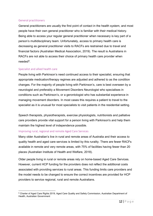#### <span id="page-11-0"></span>General practitioners

General practitioners are usually the first point of contact in the health system, and most people have their own general practitioner who is familiar with their medical history. Being able to access your regular general practitioner when necessary is key part of a person's multidisciplinary team. Unfortunately, access to primary health care is decreasing as general practitioner visits to RACFs are restrained due to travel and financial factors (Australian Medical Association, 2019). The result is Australians in RACFs are not able to access their choice of primary health care provider when needed[6](#page-11-3).

#### <span id="page-11-1"></span>Specialist and allied health care

People living with Parkinson's need continued access to their specialist, ensuring that appropriate medication/therapy regimes are adjusted and adhered to as the condition changes. For the majority of people living with Parkinson's, care is best overseen by a neurologist and preferably a Movement Disorders Neurologist who specialises in conditions such as Parkinson's, or a gerontologist who has substantial experience in managing movement disorders. In most cases this requires a patient to travel to the specialist as it is unusual for most specialists to visit patients in the residential setting.

Speech therapists, physiotherapists, exercise physiologists, nutritionists and palliative care providers provide vital support for a person living with Parkinson's and help them maintain the highest level of independence possible.

#### <span id="page-11-2"></span>Improving rural, regional and remote Aged Care Services

Many older Australian's live in rural and remote areas of Australia and their access to quality health and aged care services is limited by this rurality. There are fewer RACFs available in remote and very remote areas, with 75% of facilities having fewer than 20 places (Australian Institute of Health and Welfare, 2018).

Older people living in rural or remote areas rely on home-based Aged Care Services. However, current HCP funding for the providers does not reflect the additional costs associated with providing services to rural areas. This funding limits care providers and the model needs to be changed to ensure the correct incentives are provided for HCP providers to service regional, rural and remote Australians.

<span id="page-11-3"></span><sup>&</sup>lt;sup>6</sup> Charter of Aged Care Rights 2019, Aged Care Quality and Safety Commission, Australian Department of Health, Australian Government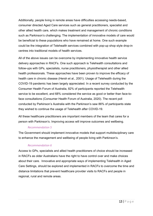Additionally, people living in remote areas have difficulties accessing needs-based, consumer directed Aged Care services such as general practitioners, specialist and other allied health care, which makes treatment and management of chronic conditions such as Parkinson's challenging. The implementation of innovative models of care would be beneficial to these populations who have remained at home. One such example could be the integration of Telehealth services combined with pop-up shop style drop-in centres into traditional models of health services.

All of the above issues can be overcome by implementing innovative health service delivery approaches in RACFs. One such approach is Telehealth consultations and follow-ups with GPs, specialists, nurse practitioners, physiotherapist and other allied health professionals. These approaches have been proven to improve the efficacy of health care in chronic disease (Hersh et al., 2001). Usage of Telehealth during the COVID-19 pandemic has been largely appreciated. In a recent survey conducted by the Consumer Health Forum of Australia, 82% of participants reported the Telehealth service to be excellent, and 68% considered the service as good or better than face-toface consultations (Consumer Health Forum of Australia, 2020). The recent poll conducted by Parkinson's Australia with the Parkinson's saw 86% of participants state they wished to continue the usage of Telehealth after COVID-19.

All these healthcare practitioners are important members of the team that cares for a person with Parkinson's. Improving access will improve outcomes and wellbeing.

#### *Recommendation 5*

<span id="page-12-0"></span>The Government should implement innovative models that support multidisciplinary care to enhance the management and wellbeing of people living with Parkinson's.

#### *Recommendation 6*

<span id="page-12-1"></span>Access to GPs, specialists and allied health practitioners of choice should be increased in RACFs as older Australians have the right to have control over and make choices about their care. Innovative and appropriate ways of implementing Telehealth in Aged Care Settings, should be explored and implemented in RACFs to overcome the time and distance limitations that prevent healthcare provider visits to RACFs and people in regional, rural and remote areas.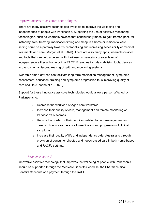#### <span id="page-13-0"></span>Improve access to assistive technologies

There are many assistive technologies available to improve the wellbeing and independence of people with Parkinson's. Supporting the use of assistive monitoring technologies, such as wearable devices that continuously measure gait, tremor, postural instability, falls, freezing, medication timing and sleep in a home or residential care setting could be a pathway towards personalising and increasing accessibility of medical treatments and care (Morgan et al., 2020). There are also many apps, wearable devices and tools that can help a person with Parkinson's maintain a greater level of independence either at home or in a RACF. Examples include stabilising tools, devices to overcome gait issues/freezing of gait, and monitoring systems.

Wearable smart devices can facilitate long-term medication management, symptoms assessment, education, training and symptoms progression thus improving quality of care and life (Channa et al., 2020).

Support for these innovative assistive technologies would allow a person affected by Parkinson's to:

- o Decrease the workload of Aged care workforce.
- o Increase their quality of care, management and remote monitoring of Parkinson's outcomes.
- o Reduce the burden of their condition related to poor management and care, such as non-adherence to medication and progression of clinical symptoms.
- o Increase their quality of life and independency older Australians through provision of consumer directed and needs-based care in both home-based and RACFs settings.

#### *Recommendation 7*

<span id="page-13-1"></span>Innovative assistive technology that improves the wellbeing of people with Parkinson's should be supported through the Medicare Benefits Schedule, the Pharmaceutical Benefits Schedule or a payment through the RACF.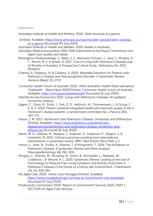#### <span id="page-14-0"></span>References

Australian Institute of Health and Welfare. 2018. Older Australia at a glance

- [Online]. Available: [https://www.aihw.gov.au/reports/older-people/older-australia](https://www.aihw.gov.au/reports/older-people/older-australia-at-a-glance)[at-a-glance](https://www.aihw.gov.au/reports/older-people/older-australia-at-a-glance) [Accessed 09 July 2020].
- Australian Institute of Health and Welfare. 2019. Deaths in Australia. .
- Australian Medical Association 2019. AMA Submission to the Royal Commission into Aged Care Quality and Safety.
- Bohingamu Mudiyanselage, S., Watts, J. J., Abimanyi-Ochom, J., Lane, L., Murphy, A. T., Morris, M. E. & Iansek, R. 2017. Cost of Living with Parkinson's Disease over 12 Months in Australia: A Prospective Cohort Study. Parkinsons Dis, 2017, 5932675.
- Channa, A., Popescu, N. & Ciobanu, V. 2020. Wearable Solutions for Patients with Parkinson's Disease and Neurocognitive Disorder: A Systematic Review. . Sensors (Basel). 20, 2713
- Consumer Health Forum of Australia. 2020. What Australia's Health Panel said about Telehealth - March/April 2020 [Online]. Consumer Health Forum of Australia.. Available:<https://chf.org.au/ahptelehealth> [Accessed 16 July 2020].
- Deloitte Access Economics 2015. Living with Parkinsons's Disease: An updated economic analysis. .
- Eggers, C., Dano, R., Schill, J., Fink, G. R., Hellmich, M., Timmermann, L. & Group, C. P. N. S. 2018. Patient-centered integrated healthcare improves quality of life in Parkinson's disease patients: a randomized controlled trial. J Neurol, 265, 764-773.
- Ellison, J. M. 2017. Alzheimer's and Parkinson's Disease: Similarities and Differences [Online]. Available: [https://www.brightfocus.org/alzheimers](https://www.brightfocus.org/alzheimers-disease/article/alzheimers-and-parkinsons-disease-similarities-and-differences)[disease/article/alzheimers-and-parkinsons-disease-similarities-and](https://www.brightfocus.org/alzheimers-disease/article/alzheimers-and-parkinsons-disease-similarities-and-differences)[differences](https://www.brightfocus.org/alzheimers-disease/article/alzheimers-and-parkinsons-disease-similarities-and-differences) [Accessed 16 July 2020].
- Hersh, W. R., Helfand, M., Wallace, J., Kraemer, D., Patterson, P., Shapiro, S. & Greenlick, M. 2001. Clinical outcomes resulting from telemedicine interventions: a systematic review. BMC Med Inform Decis Mak, 1, 5.
- Hirsch, L., Jette, N., Frolkis, A., Steeves, T. & Pringsheim, T. 2016. The Incidence of Parkinson's Disease: A Systematic Review and Meta-Analysis. Neuroepidemiology, 46, 292-300.
- Morgan, C., Rolinski, M., Mcnaney, R., Jones, B., Rochester, L., Maetzler, W., Craddock, I. & Whone, A. L. 2020. Systematic Review Looking at the Use of Technology to Measure Free-Living Symptom and Activity Outcomes in Parkinson's Disease in the Home or a Home-like Environment. J Parkinsons Dis. 10, 429-454.
- My Aged Care. 2020. Home Care Packages [Online]. Available: <https://www.myagedcare.gov.au/help-at-home/home-care-packages> [Accessed 07 July 2020].
- Productivity Commission 2020. Report on Government Services 2020, PART F, SECTION 14, Aged Care Services.